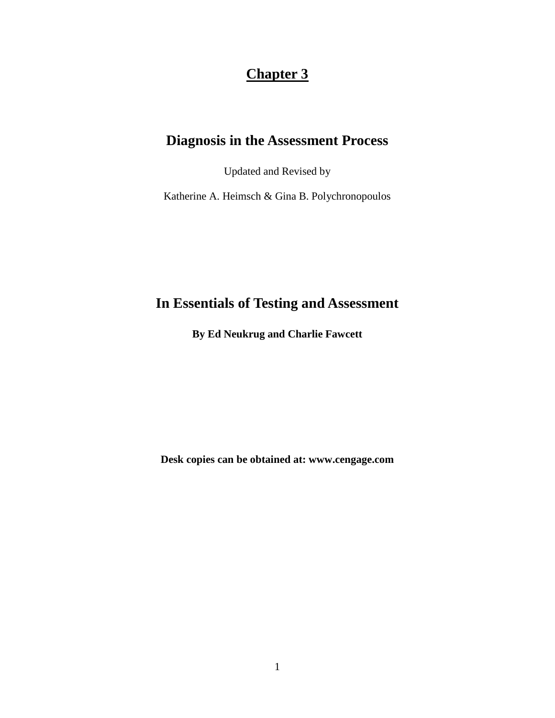# **Chapter 3**

## **Diagnosis in the Assessment Process**

Updated and Revised by

Katherine A. Heimsch & Gina B. Polychronopoulos

# **In Essentials of Testing and Assessment**

**By Ed Neukrug and Charlie Fawcett**

**Desk copies can be obtained at: www.cengage.com**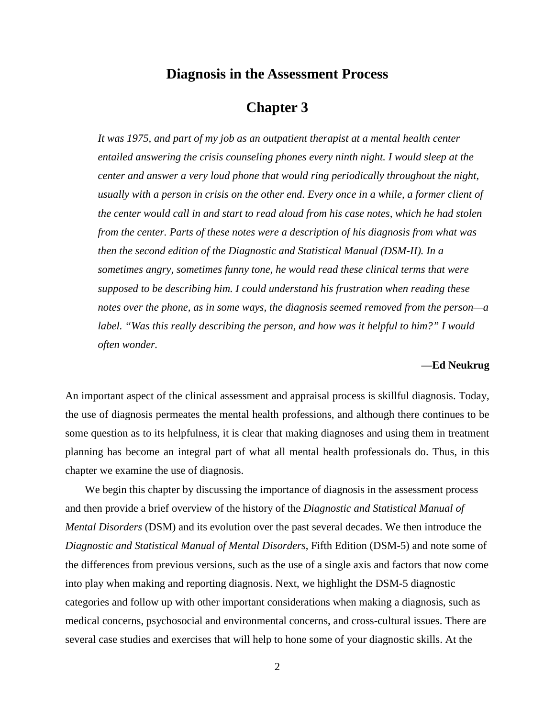## **Diagnosis in the Assessment Process**

## **Chapter 3**

*It was 1975, and part of my job as an outpatient therapist at a mental health center entailed answering the crisis counseling phones every ninth night. I would sleep at the center and answer a very loud phone that would ring periodically throughout the night, usually with a person in crisis on the other end. Every once in a while, a former client of the center would call in and start to read aloud from his case notes, which he had stolen from the center. Parts of these notes were a description of his diagnosis from what was then the second edition of the Diagnostic and Statistical Manual (DSM-II). In a sometimes angry, sometimes funny tone, he would read these clinical terms that were supposed to be describing him. I could understand his frustration when reading these notes over the phone, as in some ways, the diagnosis seemed removed from the person—a label. "Was this really describing the person, and how was it helpful to him?" I would often wonder.*

#### **—Ed Neukrug**

An important aspect of the clinical assessment and appraisal process is skillful diagnosis. Today, the use of diagnosis permeates the mental health professions, and although there continues to be some question as to its helpfulness, it is clear that making diagnoses and using them in treatment planning has become an integral part of what all mental health professionals do. Thus, in this chapter we examine the use of diagnosis.

We begin this chapter by discussing the importance of diagnosis in the assessment process and then provide a brief overview of the history of the *Diagnostic and Statistical Manual of Mental Disorders* (DSM) and its evolution over the past several decades. We then introduce the *Diagnostic and Statistical Manual of Mental Disorders*, Fifth Edition (DSM-5) and note some of the differences from previous versions, such as the use of a single axis and factors that now come into play when making and reporting diagnosis. Next, we highlight the DSM-5 diagnostic categories and follow up with other important considerations when making a diagnosis, such as medical concerns, psychosocial and environmental concerns, and cross-cultural issues. There are several case studies and exercises that will help to hone some of your diagnostic skills. At the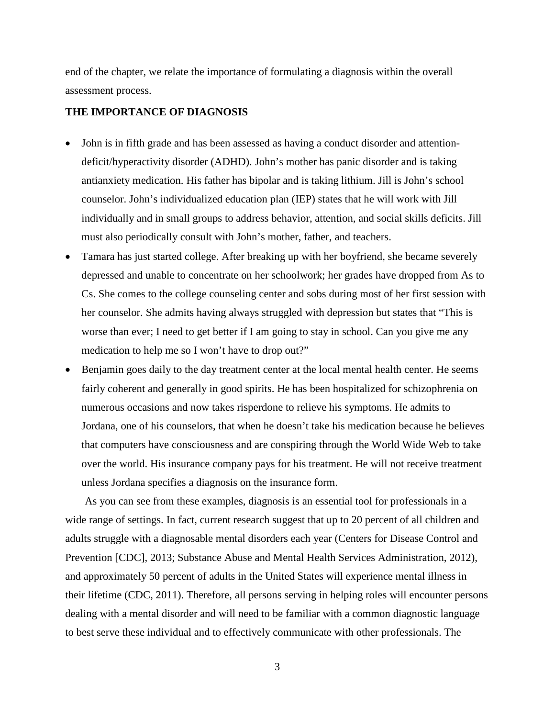end of the chapter, we relate the importance of formulating a diagnosis within the overall assessment process.

### **THE IMPORTANCE OF DIAGNOSIS**

- John is in fifth grade and has been assessed as having a conduct disorder and attentiondeficit/hyperactivity disorder (ADHD). John's mother has panic disorder and is taking antianxiety medication. His father has bipolar and is taking lithium. Jill is John's school counselor. John's individualized education plan (IEP) states that he will work with Jill individually and in small groups to address behavior, attention, and social skills deficits. Jill must also periodically consult with John's mother, father, and teachers.
- Tamara has just started college. After breaking up with her boyfriend, she became severely depressed and unable to concentrate on her schoolwork; her grades have dropped from As to Cs. She comes to the college counseling center and sobs during most of her first session with her counselor. She admits having always struggled with depression but states that "This is worse than ever; I need to get better if I am going to stay in school. Can you give me any medication to help me so I won't have to drop out?"
- Benjamin goes daily to the day treatment center at the local mental health center. He seems fairly coherent and generally in good spirits. He has been hospitalized for schizophrenia on numerous occasions and now takes risperdone to relieve his symptoms. He admits to Jordana, one of his counselors, that when he doesn't take his medication because he believes that computers have consciousness and are conspiring through the World Wide Web to take over the world. His insurance company pays for his treatment. He will not receive treatment unless Jordana specifies a diagnosis on the insurance form.

As you can see from these examples, diagnosis is an essential tool for professionals in a wide range of settings. In fact, current research suggest that up to 20 percent of all children and adults struggle with a diagnosable mental disorders each year (Centers for Disease Control and Prevention [CDC], 2013; Substance Abuse and Mental Health Services Administration, 2012), and approximately 50 percent of adults in the United States will experience mental illness in their lifetime (CDC, 2011). Therefore, all persons serving in helping roles will encounter persons dealing with a mental disorder and will need to be familiar with a common diagnostic language to best serve these individual and to effectively communicate with other professionals. The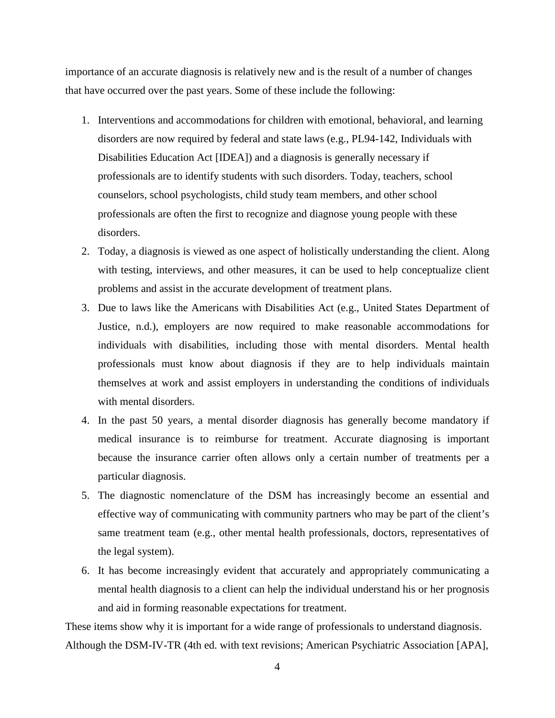importance of an accurate diagnosis is relatively new and is the result of a number of changes that have occurred over the past years. Some of these include the following:

- 1. Interventions and accommodations for children with emotional, behavioral, and learning disorders are now required by federal and state laws (e.g., PL94-142, Individuals with Disabilities Education Act [IDEA]) and a diagnosis is generally necessary if professionals are to identify students with such disorders. Today, teachers, school counselors, school psychologists, child study team members, and other school professionals are often the first to recognize and diagnose young people with these disorders.
- 2. Today, a diagnosis is viewed as one aspect of holistically understanding the client. Along with testing, interviews, and other measures, it can be used to help conceptualize client problems and assist in the accurate development of treatment plans.
- 3. Due to laws like the Americans with Disabilities Act (e.g., United States Department of Justice, n.d.), employers are now required to make reasonable accommodations for individuals with disabilities, including those with mental disorders. Mental health professionals must know about diagnosis if they are to help individuals maintain themselves at work and assist employers in understanding the conditions of individuals with mental disorders.
- 4. In the past 50 years, a mental disorder diagnosis has generally become mandatory if medical insurance is to reimburse for treatment. Accurate diagnosing is important because the insurance carrier often allows only a certain number of treatments per a particular diagnosis.
- 5. The diagnostic nomenclature of the DSM has increasingly become an essential and effective way of communicating with community partners who may be part of the client's same treatment team (e.g., other mental health professionals, doctors, representatives of the legal system).
- 6. It has become increasingly evident that accurately and appropriately communicating a mental health diagnosis to a client can help the individual understand his or her prognosis and aid in forming reasonable expectations for treatment.

These items show why it is important for a wide range of professionals to understand diagnosis. Although the DSM-IV-TR (4th ed. with text revisions; American Psychiatric Association [APA],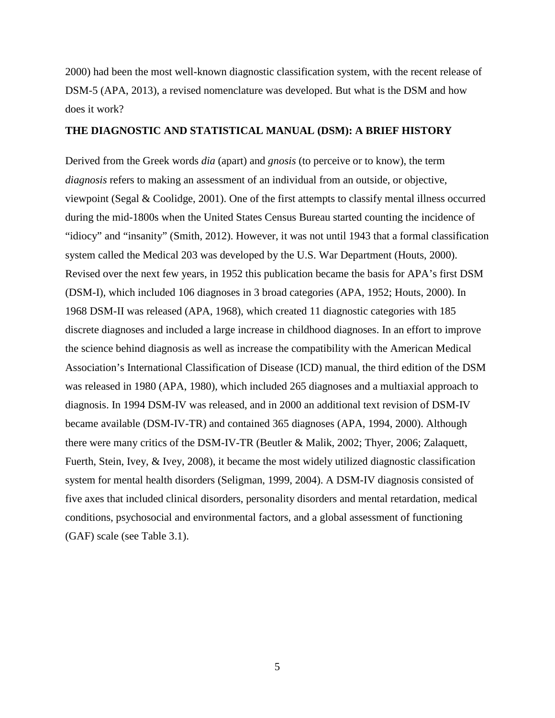2000) had been the most well-known diagnostic classification system, with the recent release of DSM-5 (APA, 2013), a revised nomenclature was developed. But what is the DSM and how does it work?

#### **THE DIAGNOSTIC AND STATISTICAL MANUAL (DSM): A BRIEF HISTORY**

Derived from the Greek words *dia* (apart) and *gnosis* (to perceive or to know), the term *diagnosis* refers to making an assessment of an individual from an outside, or objective, viewpoint (Segal & Coolidge, 2001). One of the first attempts to classify mental illness occurred during the mid-1800s when the United States Census Bureau started counting the incidence of "idiocy" and "insanity" (Smith, 2012). However, it was not until 1943 that a formal classification system called the Medical 203 was developed by the U.S. War Department (Houts, 2000). Revised over the next few years, in 1952 this publication became the basis for APA's first DSM (DSM-I), which included 106 diagnoses in 3 broad categories (APA, 1952; Houts, 2000). In 1968 DSM-II was released (APA, 1968), which created 11 diagnostic categories with 185 discrete diagnoses and included a large increase in childhood diagnoses. In an effort to improve the science behind diagnosis as well as increase the compatibility with the American Medical Association's International Classification of Disease (ICD) manual, the third edition of the DSM was released in 1980 (APA, 1980), which included 265 diagnoses and a multiaxial approach to diagnosis. In 1994 DSM-IV was released, and in 2000 an additional text revision of DSM-IV became available (DSM-IV-TR) and contained 365 diagnoses (APA, 1994, 2000). Although there were many critics of the DSM-IV-TR (Beutler & Malik, 2002; Thyer, 2006; Zalaquett, Fuerth, Stein, Ivey, & Ivey, 2008), it became the most widely utilized diagnostic classification system for mental health disorders (Seligman, 1999, 2004). A DSM-IV diagnosis consisted of five axes that included clinical disorders, personality disorders and mental retardation, medical conditions, psychosocial and environmental factors, and a global assessment of functioning (GAF) scale (see Table 3.1).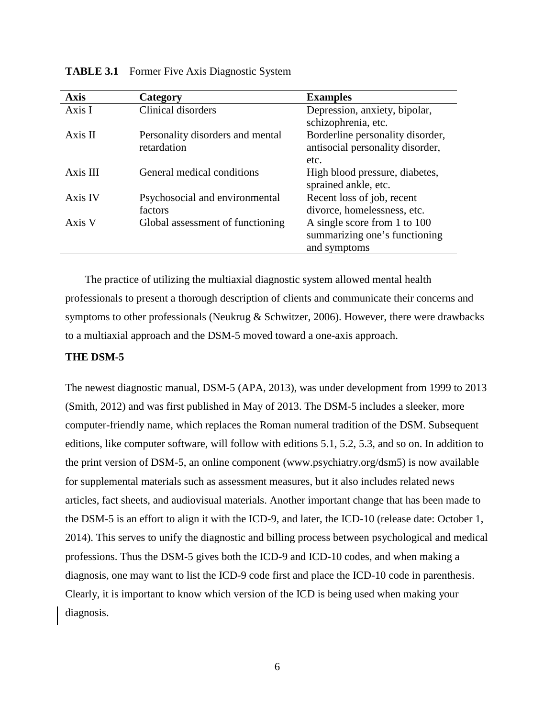| Axis     | Category                                        | <b>Examples</b>                                                               |
|----------|-------------------------------------------------|-------------------------------------------------------------------------------|
| Axis I   | Clinical disorders                              | Depression, anxiety, bipolar,<br>schizophrenia, etc.                          |
| Axis II  | Personality disorders and mental<br>retardation | Borderline personality disorder,<br>antisocial personality disorder,<br>etc.  |
| Axis III | General medical conditions                      | High blood pressure, diabetes,<br>sprained ankle, etc.                        |
| Axis IV  | Psychosocial and environmental<br>factors       | Recent loss of job, recent<br>divorce, homelessness, etc.                     |
| Axis V   | Global assessment of functioning                | A single score from 1 to 100<br>summarizing one's functioning<br>and symptoms |

**TABLE 3.1** Former Five Axis Diagnostic System

The practice of utilizing the multiaxial diagnostic system allowed mental health professionals to present a thorough description of clients and communicate their concerns and symptoms to other professionals (Neukrug & Schwitzer, 2006). However, there were drawbacks to a multiaxial approach and the DSM-5 moved toward a one-axis approach.

#### **THE DSM-5**

The newest diagnostic manual, DSM*-*5 (APA, 2013), was under development from 1999 to 2013 (Smith, 2012) and was first published in May of 2013. The DSM-5 includes a sleeker, more computer-friendly name, which replaces the Roman numeral tradition of the DSM. Subsequent editions, like computer software, will follow with editions 5.1, 5.2, 5.3, and so on. In addition to the print version of DSM-5, an online component (www.psychiatry.org/dsm5) is now available for supplemental materials such as assessment measures, but it also includes related news articles, fact sheets, and audiovisual materials. Another important change that has been made to the DSM-5 is an effort to align it with the ICD-9, and later, the ICD-10 (release date: October 1, 2014). This serves to unify the diagnostic and billing process between psychological and medical professions. Thus the DSM-5 gives both the ICD-9 and ICD-10 codes, and when making a diagnosis, one may want to list the ICD-9 code first and place the ICD-10 code in parenthesis. Clearly, it is important to know which version of the ICD is being used when making your diagnosis.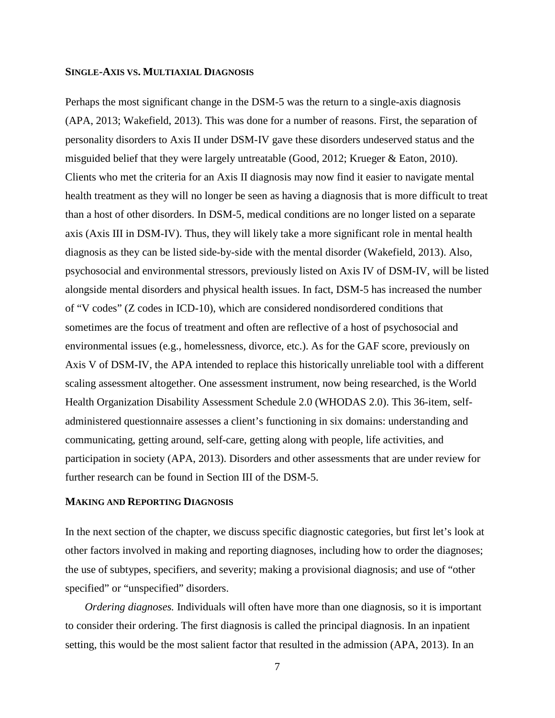#### **SINGLE-AXIS VS. MULTIAXIAL DIAGNOSIS**

Perhaps the most significant change in the DSM-5 was the return to a single-axis diagnosis (APA, 2013; Wakefield, 2013). This was done for a number of reasons. First, the separation of personality disorders to Axis II under DSM-IV gave these disorders undeserved status and the misguided belief that they were largely untreatable (Good, 2012; Krueger & Eaton, 2010). Clients who met the criteria for an Axis II diagnosis may now find it easier to navigate mental health treatment as they will no longer be seen as having a diagnosis that is more difficult to treat than a host of other disorders. In DSM-5, medical conditions are no longer listed on a separate axis (Axis III in DSM-IV). Thus, they will likely take a more significant role in mental health diagnosis as they can be listed side-by-side with the mental disorder (Wakefield, 2013). Also, psychosocial and environmental stressors, previously listed on Axis IV of DSM-IV, will be listed alongside mental disorders and physical health issues. In fact, DSM-5 has increased the number of "V codes" (Z codes in ICD-10), which are considered nondisordered conditions that sometimes are the focus of treatment and often are reflective of a host of psychosocial and environmental issues (e.g., homelessness, divorce, etc.). As for the GAF score, previously on Axis V of DSM-IV, the APA intended to replace this historically unreliable tool with a different scaling assessment altogether. One assessment instrument, now being researched, is the World Health Organization Disability Assessment Schedule 2.0 (WHODAS 2.0). This 36-item, selfadministered questionnaire assesses a client's functioning in six domains: understanding and communicating, getting around, self-care, getting along with people, life activities, and participation in society (APA, 2013). Disorders and other assessments that are under review for further research can be found in Section III of the DSM-5.

#### **MAKING AND REPORTING DIAGNOSIS**

In the next section of the chapter, we discuss specific diagnostic categories, but first let's look at other factors involved in making and reporting diagnoses, including how to order the diagnoses; the use of subtypes, specifiers, and severity; making a provisional diagnosis; and use of "other specified" or "unspecified" disorders.

*Ordering diagnoses.* Individuals will often have more than one diagnosis, so it is important to consider their ordering. The first diagnosis is called the principal diagnosis. In an inpatient setting, this would be the most salient factor that resulted in the admission (APA, 2013). In an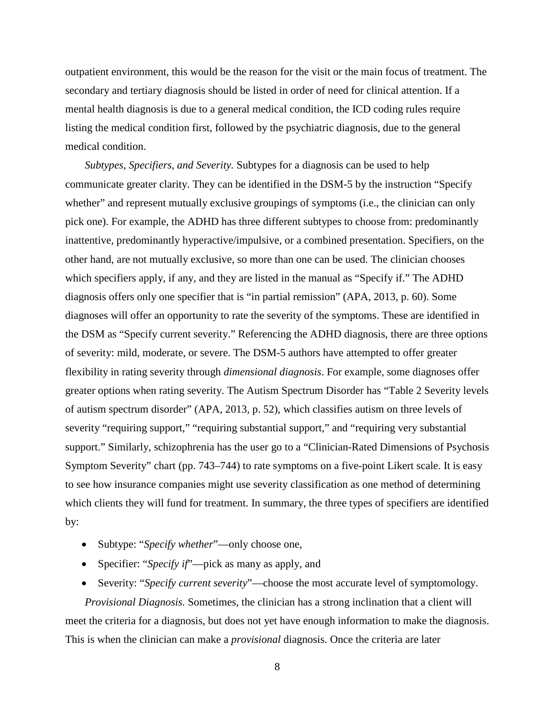outpatient environment, this would be the reason for the visit or the main focus of treatment. The secondary and tertiary diagnosis should be listed in order of need for clinical attention. If a mental health diagnosis is due to a general medical condition, the ICD coding rules require listing the medical condition first, followed by the psychiatric diagnosis, due to the general medical condition.

*Subtypes, Specifiers, and Severity.* Subtypes for a diagnosis can be used to help communicate greater clarity. They can be identified in the DSM-5 by the instruction "Specify whether" and represent mutually exclusive groupings of symptoms (i.e., the clinician can only pick one). For example, the ADHD has three different subtypes to choose from: predominantly inattentive, predominantly hyperactive/impulsive, or a combined presentation. Specifiers, on the other hand, are not mutually exclusive, so more than one can be used. The clinician chooses which specifiers apply, if any, and they are listed in the manual as "Specify if." The ADHD diagnosis offers only one specifier that is "in partial remission" (APA, 2013, p. 60). Some diagnoses will offer an opportunity to rate the severity of the symptoms. These are identified in the DSM as "Specify current severity." Referencing the ADHD diagnosis, there are three options of severity: mild, moderate, or severe. The DSM-5 authors have attempted to offer greater flexibility in rating severity through *dimensional diagnosis*. For example, some diagnoses offer greater options when rating severity. The Autism Spectrum Disorder has "Table 2 Severity levels of autism spectrum disorder" (APA, 2013, p. 52), which classifies autism on three levels of severity "requiring support," "requiring substantial support," and "requiring very substantial support." Similarly, schizophrenia has the user go to a "Clinician-Rated Dimensions of Psychosis Symptom Severity" chart (pp. 743–744) to rate symptoms on a five-point Likert scale. It is easy to see how insurance companies might use severity classification as one method of determining which clients they will fund for treatment. In summary, the three types of specifiers are identified by:

- Subtype: "*Specify whether*"—only choose one,
- Specifier: "*Specify if*"—pick as many as apply, and
- Severity: "*Specify current severity*"—choose the most accurate level of symptomology.

*Provisional Diagnosis.* Sometimes, the clinician has a strong inclination that a client will meet the criteria for a diagnosis, but does not yet have enough information to make the diagnosis. This is when the clinician can make a *provisional* diagnosis. Once the criteria are later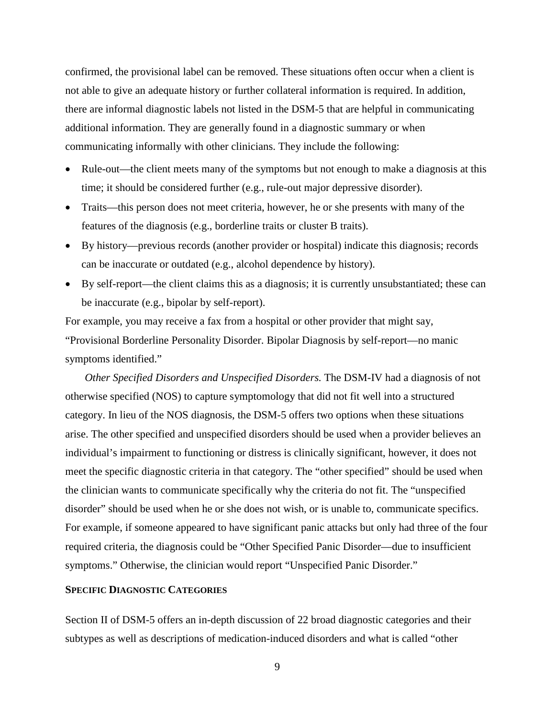confirmed, the provisional label can be removed. These situations often occur when a client is not able to give an adequate history or further collateral information is required. In addition, there are informal diagnostic labels not listed in the DSM-5 that are helpful in communicating additional information. They are generally found in a diagnostic summary or when communicating informally with other clinicians. They include the following:

- Rule-out—the client meets many of the symptoms but not enough to make a diagnosis at this time; it should be considered further (e.g., rule-out major depressive disorder).
- Traits—this person does not meet criteria, however, he or she presents with many of the features of the diagnosis (e.g., borderline traits or cluster B traits).
- By history—previous records (another provider or hospital) indicate this diagnosis; records can be inaccurate or outdated (e.g., alcohol dependence by history).
- By self-report—the client claims this as a diagnosis; it is currently unsubstantiated; these can be inaccurate (e.g., bipolar by self-report).

For example, you may receive a fax from a hospital or other provider that might say, "Provisional Borderline Personality Disorder. Bipolar Diagnosis by self-report—no manic symptoms identified."

*Other Specified Disorders and Unspecified Disorders.* The DSM-IV had a diagnosis of not otherwise specified (NOS) to capture symptomology that did not fit well into a structured category. In lieu of the NOS diagnosis, the DSM-5 offers two options when these situations arise. The other specified and unspecified disorders should be used when a provider believes an individual's impairment to functioning or distress is clinically significant, however, it does not meet the specific diagnostic criteria in that category. The "other specified" should be used when the clinician wants to communicate specifically why the criteria do not fit. The "unspecified disorder" should be used when he or she does not wish, or is unable to, communicate specifics. For example, if someone appeared to have significant panic attacks but only had three of the four required criteria, the diagnosis could be "Other Specified Panic Disorder—due to insufficient symptoms." Otherwise, the clinician would report "Unspecified Panic Disorder."

#### **SPECIFIC DIAGNOSTIC CATEGORIES**

Section II of DSM-5 offers an in-depth discussion of 22 broad diagnostic categories and their subtypes as well as descriptions of medication-induced disorders and what is called "other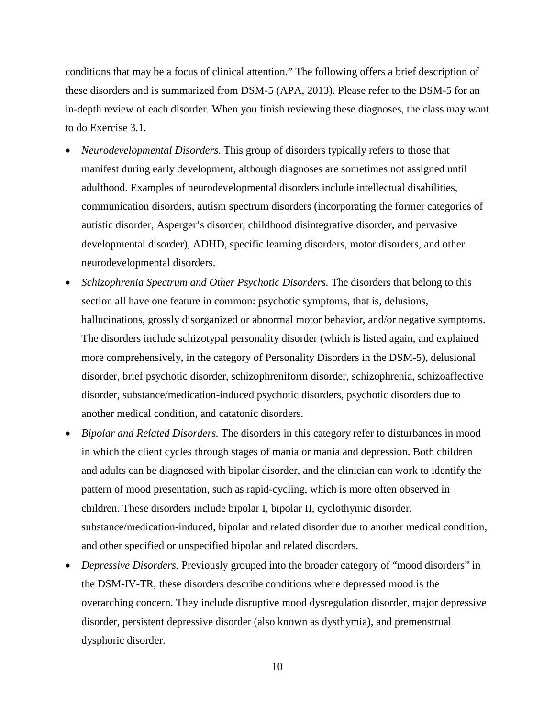conditions that may be a focus of clinical attention." The following offers a brief description of these disorders and is summarized from DSM-5 (APA, 2013). Please refer to the DSM-5 for an in-depth review of each disorder. When you finish reviewing these diagnoses, the class may want to do Exercise 3.1.

- *Neurodevelopmental Disorders.* This group of disorders typically refers to those that manifest during early development, although diagnoses are sometimes not assigned until adulthood. Examples of neurodevelopmental disorders include intellectual disabilities, communication disorders, autism spectrum disorders (incorporating the former categories of autistic disorder, Asperger's disorder, childhood disintegrative disorder, and pervasive developmental disorder), ADHD, specific learning disorders, motor disorders, and other neurodevelopmental disorders.
- *Schizophrenia Spectrum and Other Psychotic Disorders.* The disorders that belong to this section all have one feature in common: psychotic symptoms, that is, delusions, hallucinations, grossly disorganized or abnormal motor behavior, and/or negative symptoms. The disorders include schizotypal personality disorder (which is listed again, and explained more comprehensively, in the category of Personality Disorders in the DSM-5), delusional disorder, brief psychotic disorder, schizophreniform disorder, schizophrenia, schizoaffective disorder, substance/medication-induced psychotic disorders, psychotic disorders due to another medical condition, and catatonic disorders.
- *Bipolar and Related Disorders.* The disorders in this category refer to disturbances in mood in which the client cycles through stages of mania or mania and depression. Both children and adults can be diagnosed with bipolar disorder, and the clinician can work to identify the pattern of mood presentation, such as rapid-cycling, which is more often observed in children. These disorders include bipolar I, bipolar II, cyclothymic disorder, substance/medication-induced, bipolar and related disorder due to another medical condition, and other specified or unspecified bipolar and related disorders.
- *Depressive Disorders.* Previously grouped into the broader category of "mood disorders" in the DSM-IV-TR, these disorders describe conditions where depressed mood is the overarching concern. They include disruptive mood dysregulation disorder, major depressive disorder, persistent depressive disorder (also known as dysthymia), and premenstrual dysphoric disorder.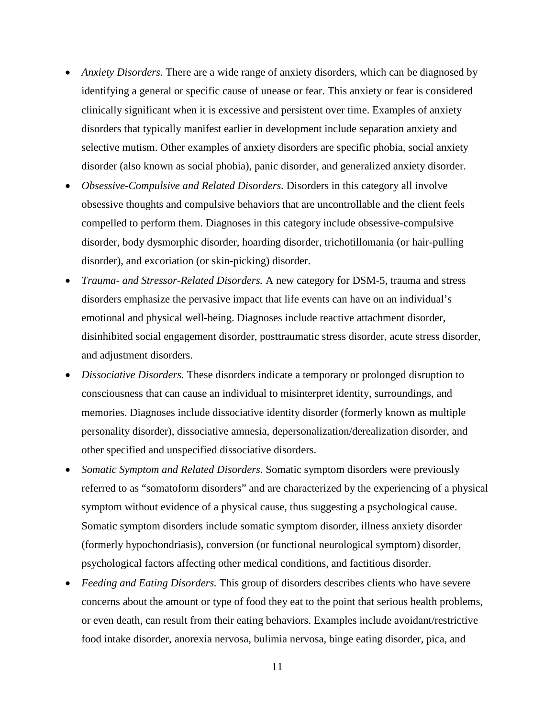- *Anxiety Disorders.* There are a wide range of anxiety disorders, which can be diagnosed by identifying a general or specific cause of unease or fear. This anxiety or fear is considered clinically significant when it is excessive and persistent over time. Examples of anxiety disorders that typically manifest earlier in development include separation anxiety and selective mutism. Other examples of anxiety disorders are specific phobia, social anxiety disorder (also known as social phobia), panic disorder, and generalized anxiety disorder.
- *Obsessive-Compulsive and Related Disorders.* Disorders in this category all involve obsessive thoughts and compulsive behaviors that are uncontrollable and the client feels compelled to perform them. Diagnoses in this category include obsessive-compulsive disorder, body dysmorphic disorder, hoarding disorder, trichotillomania (or hair-pulling disorder), and excoriation (or skin-picking) disorder.
- *Trauma- and Stressor-Related Disorders.* A new category for DSM-5, trauma and stress disorders emphasize the pervasive impact that life events can have on an individual's emotional and physical well-being. Diagnoses include reactive attachment disorder, disinhibited social engagement disorder, posttraumatic stress disorder, acute stress disorder, and adjustment disorders.
- *Dissociative Disorders.* These disorders indicate a temporary or prolonged disruption to consciousness that can cause an individual to misinterpret identity, surroundings, and memories. Diagnoses include dissociative identity disorder (formerly known as multiple personality disorder), dissociative amnesia, depersonalization/derealization disorder, and other specified and unspecified dissociative disorders.
- *Somatic Symptom and Related Disorders.* Somatic symptom disorders were previously referred to as "somatoform disorders" and are characterized by the experiencing of a physical symptom without evidence of a physical cause, thus suggesting a psychological cause. Somatic symptom disorders include somatic symptom disorder, illness anxiety disorder (formerly hypochondriasis), conversion (or functional neurological symptom) disorder, psychological factors affecting other medical conditions, and factitious disorder.
- *[Feeding and Eating Disorders.](http://www.dsm5.org/proposedrevision/Pages/FeedingandEatingDisorders.aspx)* This group of disorders describes clients who have severe concerns about the amount or type of food they eat to the point that serious health problems, or even death, can result from their eating behaviors. Examples include avoidant/restrictive food intake disorder, anorexia nervosa, bulimia nervosa, binge eating disorder, pica, and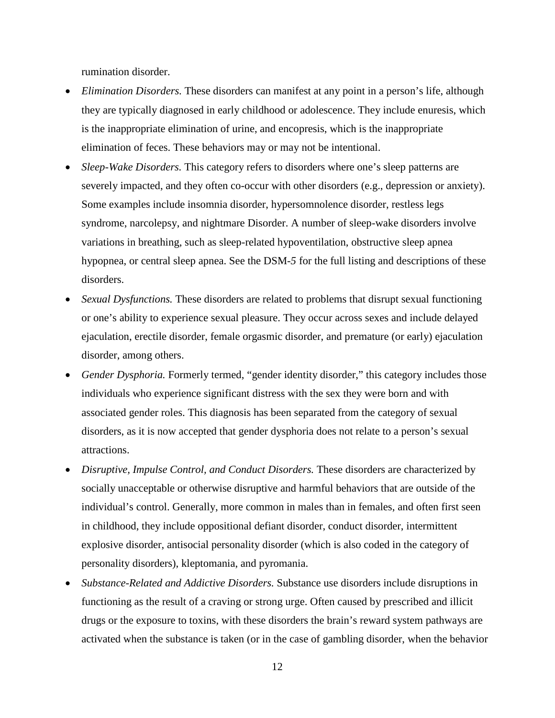rumination disorder.

- *Elimination Disorders*. These disorders can manifest at any point in a person's life, although they are typically diagnosed in early childhood or adolescence. They include enuresis, which is the inappropriate elimination of urine, and encopresis, which is the inappropriate elimination of feces. These behaviors may or may not be intentional.
- *Sleep-Wake Disorders.* This category refers to disorders where one's sleep patterns are severely impacted, and they often co-occur with other disorders (e.g., depression or anxiety). Some examples include insomnia disorder, hypersomnolence disorder, restless legs syndrome, narcolepsy, and nightmare Disorder. A number of sleep-wake disorders involve variations in breathing, such as sleep-related hypoventilation, obstructive sleep apnea hypopnea, or central sleep apnea. See the DSM*-5* for the full listing and descriptions of these disorders.
- *Sexual Dysfunctions.* These disorders are related to problems that disrupt sexual functioning or one's ability to experience sexual pleasure. They occur across sexes and include delayed ejaculation, erectile disorder, female orgasmic disorder, and premature (or early) ejaculation disorder, among others.
- *Gender Dysphoria.* Formerly termed, "gender identity disorder," this category includes those individuals who experience significant distress with the sex they were born and with associated gender roles. This diagnosis has been separated from the category of sexual disorders, as it is now accepted that gender dysphoria does not relate to a person's sexual attractions.
- *Disruptive, Impulse Control, and Conduct Disorders.* These disorders are characterized by socially unacceptable or otherwise disruptive and harmful behaviors that are outside of the individual's control. Generally, more common in males than in females, and often first seen in childhood, they include oppositional defiant disorder, conduct disorder, intermittent explosive disorder, antisocial personality disorder (which is also coded in the category of personality disorders), kleptomania, and pyromania.
- *Substance-Related and Addictive Disorders.* Substance use disorders include disruptions in functioning as the result of a craving or strong urge. Often caused by prescribed and illicit drugs or the exposure to toxins, with these disorders the brain's reward system pathways are activated when the substance is taken (or in the case of gambling disorder, when the behavior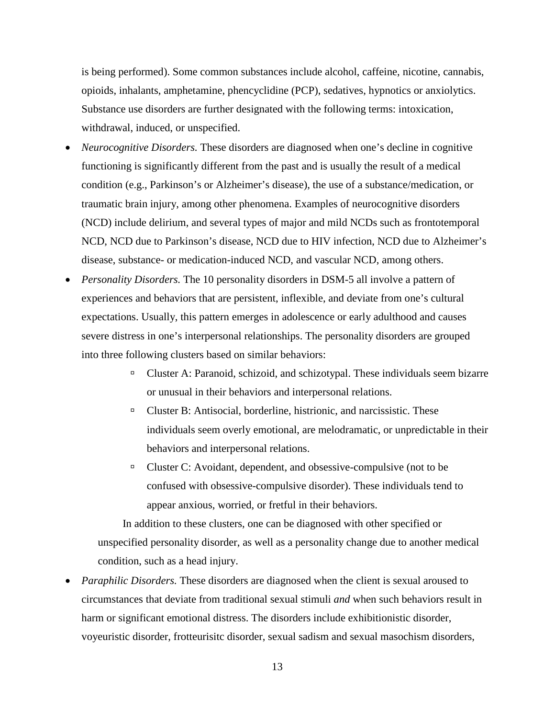is being performed). Some common substances include alcohol, caffeine, nicotine, cannabis, opioids, inhalants, amphetamine, phencyclidine (PCP), sedatives, hypnotics or anxiolytics. Substance use disorders are further designated with the following terms: intoxication, withdrawal, induced, or unspecified.

- *Neurocognitive Disorders.* These disorders are diagnosed when one's decline in cognitive functioning is significantly different from the past and is usually the result of a medical condition (e.g., Parkinson's or Alzheimer's disease), the use of a substance/medication, or traumatic brain injury, among other phenomena. Examples of neurocognitive disorders (NCD) include delirium, and several types of major and mild NCDs such as frontotemporal NCD, NCD due to Parkinson's disease, NCD due to HIV infection, NCD due to Alzheimer's disease, substance- or medication-induced NCD, and vascular NCD, among others.
- *Personality Disorders.* The 10 personality disorders in DSM-5 all involve a pattern of experiences and behaviors that are persistent, inflexible, and deviate from one's cultural expectations. Usually, this pattern emerges in adolescence or early adulthood and causes severe distress in one's interpersonal relationships. The personality disorders are grouped into three following clusters based on similar behaviors:
	- Cluster A: Paranoid, schizoid, and schizotypal. These individuals seem bizarre or unusual in their behaviors and interpersonal relations.
	- Cluster B: Antisocial, borderline, histrionic, and narcissistic. These individuals seem overly emotional, are melodramatic, or unpredictable in their behaviors and interpersonal relations.
	- $\Box$  Cluster C: Avoidant, dependent, and obsessive-compulsive (not to be confused with obsessive-compulsive disorder). These individuals tend to appear anxious, worried, or fretful in their behaviors.

In addition to these clusters, one can be diagnosed with other specified or unspecified personality disorder, as well as a personality change due to another medical condition, such as a head injury.

• *Paraphilic Disorders.* These disorders are diagnosed when the client is sexual aroused to circumstances that deviate from traditional sexual stimuli *and* when such behaviors result in harm or significant emotional distress. The disorders include exhibitionistic disorder, voyeuristic disorder, frotteurisitc disorder, sexual sadism and sexual masochism disorders,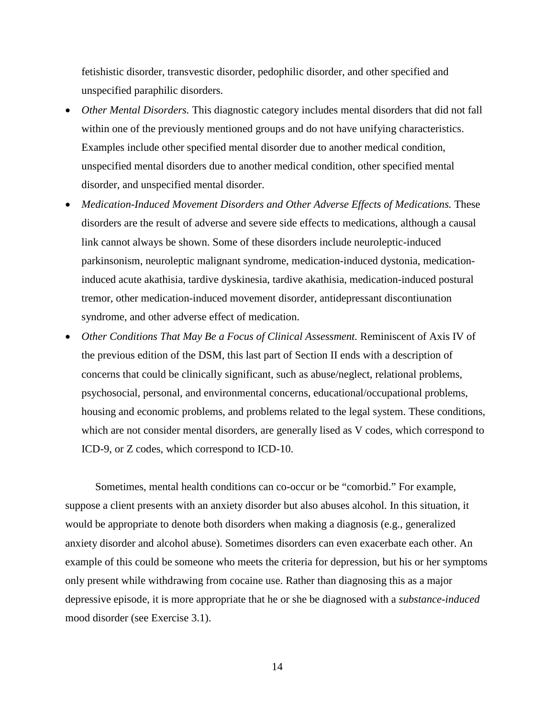fetishistic disorder, transvestic disorder, pedophilic disorder, and other specified and unspecified paraphilic disorders.

- *Other Mental Disorders.* This diagnostic category includes mental disorders that did not fall within one of the previously mentioned groups and do not have unifying characteristics. Examples include other specified mental disorder due to another medical condition, unspecified mental disorders due to another medical condition, other specified mental disorder, and unspecified mental disorder.
- *Medication-Induced Movement Disorders and Other Adverse Effects of Medications.* These disorders are the result of adverse and severe side effects to medications, although a causal link cannot always be shown. Some of these disorders include neuroleptic-induced parkinsonism, neuroleptic malignant syndrome, medication-induced dystonia, medicationinduced acute akathisia, tardive dyskinesia, tardive akathisia, medication-induced postural tremor, other medication-induced movement disorder, antidepressant discontiunation syndrome, and other adverse effect of medication.
- *Other Conditions That May Be a Focus of Clinical Assessment.* Reminiscent of Axis IV of the previous edition of the DSM, this last part of Section II ends with a description of concerns that could be clinically significant, such as abuse/neglect, relational problems, psychosocial, personal, and environmental concerns, educational/occupational problems, housing and economic problems, and problems related to the legal system. These conditions, which are not consider mental disorders, are generally lised as V codes, which correspond to ICD-9, or Z codes, which correspond to ICD-10.

Sometimes, mental health conditions can co-occur or be "comorbid." For example, suppose a client presents with an anxiety disorder but also abuses alcohol. In this situation, it would be appropriate to denote both disorders when making a diagnosis (e.g., generalized anxiety disorder and alcohol abuse). Sometimes disorders can even exacerbate each other. An example of this could be someone who meets the criteria for depression, but his or her symptoms only present while withdrawing from cocaine use. Rather than diagnosing this as a major depressive episode, it is more appropriate that he or she be diagnosed with a *substance-induced* mood disorder (see Exercise 3.1).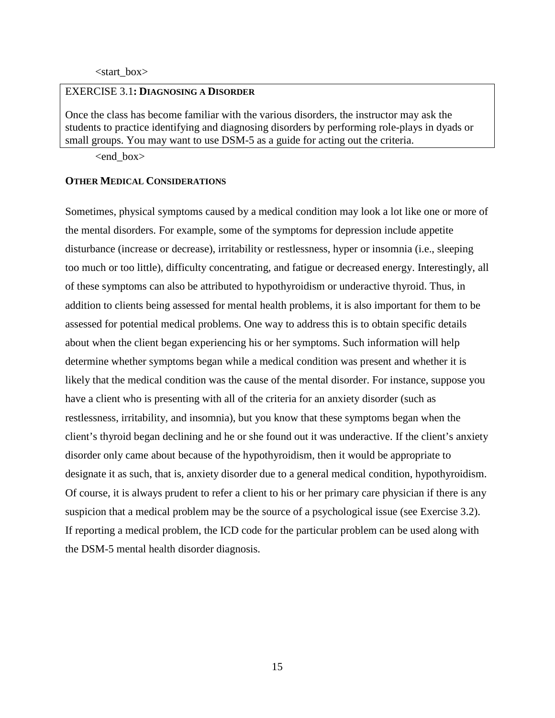#### <start\_box>

#### EXERCISE 3.1**: DIAGNOSING A DISORDER**

Once the class has become familiar with the various disorders, the instructor may ask the students to practice identifying and diagnosing disorders by performing role-plays in dyads or small groups. You may want to use DSM-5 as a guide for acting out the criteria.

<end\_box>

#### **OTHER MEDICAL CONSIDERATIONS**

Sometimes, physical symptoms caused by a medical condition may look a lot like one or more of the mental disorders. For example, some of the symptoms for depression include appetite disturbance (increase or decrease), irritability or restlessness, hyper or insomnia (i.e., sleeping too much or too little), difficulty concentrating, and fatigue or decreased energy. Interestingly, all of these symptoms can also be attributed to hypothyroidism or underactive thyroid. Thus, in addition to clients being assessed for mental health problems, it is also important for them to be assessed for potential medical problems. One way to address this is to obtain specific details about when the client began experiencing his or her symptoms. Such information will help determine whether symptoms began while a medical condition was present and whether it is likely that the medical condition was the cause of the mental disorder. For instance, suppose you have a client who is presenting with all of the criteria for an anxiety disorder (such as restlessness, irritability, and insomnia), but you know that these symptoms began when the client's thyroid began declining and he or she found out it was underactive. If the client's anxiety disorder only came about because of the hypothyroidism, then it would be appropriate to designate it as such, that is, anxiety disorder due to a general medical condition, hypothyroidism. Of course, it is always prudent to refer a client to his or her primary care physician if there is any suspicion that a medical problem may be the source of a psychological issue (see Exercise 3.2). If reporting a medical problem, the ICD code for the particular problem can be used along with the DSM-5 mental health disorder diagnosis.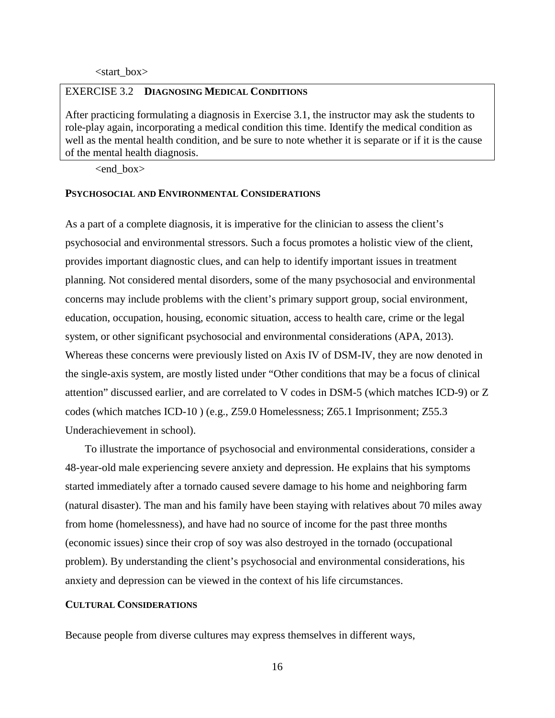#### EXERCISE 3.2 **DIAGNOSING MEDICAL CONDITIONS**

After practicing formulating a diagnosis in Exercise 3.1, the instructor may ask the students to role-play again, incorporating a medical condition this time. Identify the medical condition as well as the mental health condition, and be sure to note whether it is separate or if it is the cause of the mental health diagnosis.

<end\_box>

#### **PSYCHOSOCIAL AND ENVIRONMENTAL CONSIDERATIONS**

As a part of a complete diagnosis, it is imperative for the clinician to assess the client's psychosocial and environmental stressors. Such a focus promotes a holistic view of the client, provides important diagnostic clues, and can help to identify important issues in treatment planning. Not considered mental disorders, some of the many psychosocial and environmental concerns may include problems with the client's primary support group, social environment, education, occupation, housing, economic situation, access to health care, crime or the legal system, or other significant psychosocial and environmental considerations (APA, 2013). Whereas these concerns were previously listed on Axis IV of DSM-IV, they are now denoted in the single-axis system, are mostly listed under "Other conditions that may be a focus of clinical attention" discussed earlier, and are correlated to V codes in DSM-5 (which matches ICD-9) or Z codes (which matches ICD-10 ) (e.g., Z59.0 Homelessness; Z65.1 Imprisonment; Z55.3 Underachievement in school).

To illustrate the importance of psychosocial and environmental considerations, consider a 48-year-old male experiencing severe anxiety and depression. He explains that his symptoms started immediately after a tornado caused severe damage to his home and neighboring farm (natural disaster). The man and his family have been staying with relatives about 70 miles away from home (homelessness), and have had no source of income for the past three months (economic issues) since their crop of soy was also destroyed in the tornado (occupational problem). By understanding the client's psychosocial and environmental considerations, his anxiety and depression can be viewed in the context of his life circumstances.

#### **CULTURAL CONSIDERATIONS**

Because people from diverse cultures may express themselves in different ways,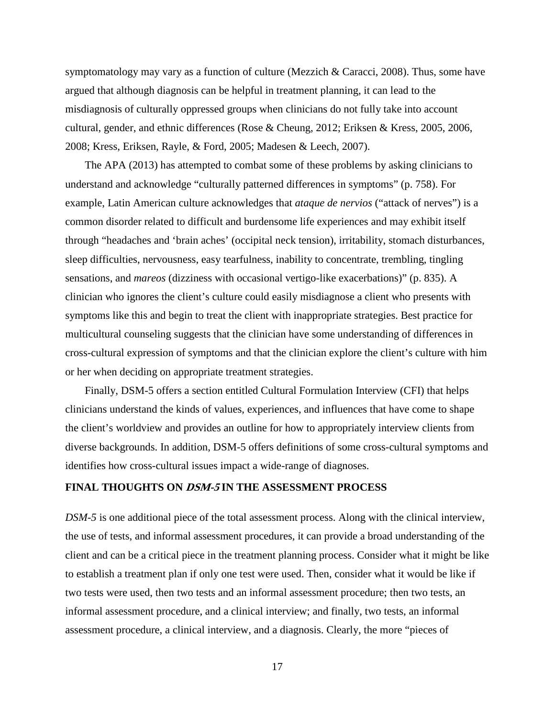symptomatology may vary as a function of culture (Mezzich & Caracci, 2008). Thus, some have argued that although diagnosis can be helpful in treatment planning, it can lead to the misdiagnosis of culturally oppressed groups when clinicians do not fully take into account cultural, gender, and ethnic differences (Rose & Cheung, 2012; Eriksen & Kress, 2005, 2006, 2008; Kress, Eriksen, Rayle, & Ford, 2005; Madesen & Leech, 2007).

The APA (2013) has attempted to combat some of these problems by asking clinicians to understand and acknowledge "culturally patterned differences in symptoms" (p. 758). For example, Latin American culture acknowledges that *ataque de nervios* ("attack of nerves") is a common disorder related to difficult and burdensome life experiences and may exhibit itself through "headaches and 'brain aches' (occipital neck tension), irritability, stomach disturbances, sleep difficulties, nervousness, easy tearfulness, inability to concentrate, trembling, tingling sensations, and *mareos* (dizziness with occasional vertigo-like exacerbations)" (p. 835). A clinician who ignores the client's culture could easily misdiagnose a client who presents with symptoms like this and begin to treat the client with inappropriate strategies. Best practice for multicultural counseling suggests that the clinician have some understanding of differences in cross-cultural expression of symptoms and that the clinician explore the client's culture with him or her when deciding on appropriate treatment strategies.

Finally, DSM-5 offers a section entitled Cultural Formulation Interview (CFI) that helps clinicians understand the kinds of values, experiences, and influences that have come to shape the client's worldview and provides an outline for how to appropriately interview clients from diverse backgrounds. In addition, DSM-5 offers definitions of some cross-cultural symptoms and identifies how cross-cultural issues impact a wide-range of diagnoses.

#### **FINAL THOUGHTS ON DSM-5 IN THE ASSESSMENT PROCESS**

*DSM-5* is one additional piece of the total assessment process. Along with the clinical interview, the use of tests, and informal assessment procedures, it can provide a broad understanding of the client and can be a critical piece in the treatment planning process. Consider what it might be like to establish a treatment plan if only one test were used. Then, consider what it would be like if two tests were used, then two tests and an informal assessment procedure; then two tests, an informal assessment procedure, and a clinical interview; and finally, two tests, an informal assessment procedure, a clinical interview, and a diagnosis. Clearly, the more "pieces of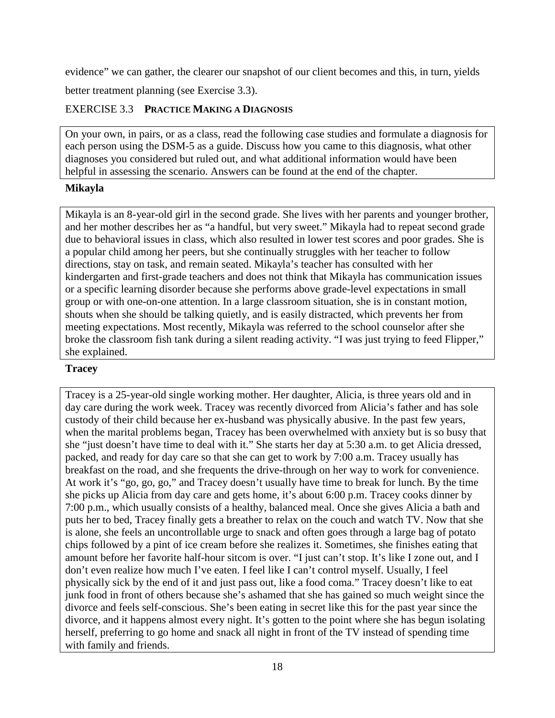evidence" we can gather, the clearer our snapshot of our client becomes and this, in turn, yields

better treatment planning (see Exercise 3.3).

## EXERCISE 3.3 **PRACTICE MAKING A DIAGNOSIS**

On your own, in pairs, or as a class, read the following case studies and formulate a diagnosis for each person using the DSM-5 as a guide. Discuss how you came to this diagnosis, what other diagnoses you considered but ruled out, and what additional information would have been helpful in assessing the scenario. Answers can be found at the end of the chapter.

## **Mikayla**

Mikayla is an 8-year-old girl in the second grade. She lives with her parents and younger brother, and her mother describes her as "a handful, but very sweet." Mikayla had to repeat second grade due to behavioral issues in class, which also resulted in lower test scores and poor grades. She is a popular child among her peers, but she continually struggles with her teacher to follow directions, stay on task, and remain seated. Mikayla's teacher has consulted with her kindergarten and first-grade teachers and does not think that Mikayla has communication issues or a specific learning disorder because she performs above grade-level expectations in small group or with one-on-one attention. In a large classroom situation, she is in constant motion, shouts when she should be talking quietly, and is easily distracted, which prevents her from meeting expectations. Most recently, Mikayla was referred to the school counselor after she broke the classroom fish tank during a silent reading activity. "I was just trying to feed Flipper," she explained.

## **Tracey**

Tracey is a 25-year-old single working mother. Her daughter, Alicia, is three years old and in day care during the work week. Tracey was recently divorced from Alicia's father and has sole custody of their child because her ex-husband was physically abusive. In the past few years, when the marital problems began, Tracey has been overwhelmed with anxiety but is so busy that she "just doesn't have time to deal with it." She starts her day at 5:30 a.m. to get Alicia dressed, packed, and ready for day care so that she can get to work by 7:00 a.m. Tracey usually has breakfast on the road, and she frequents the drive-through on her way to work for convenience. At work it's "go, go, go," and Tracey doesn't usually have time to break for lunch. By the time she picks up Alicia from day care and gets home, it's about 6:00 p.m. Tracey cooks dinner by 7:00 p.m., which usually consists of a healthy, balanced meal. Once she gives Alicia a bath and puts her to bed, Tracey finally gets a breather to relax on the couch and watch TV. Now that she is alone, she feels an uncontrollable urge to snack and often goes through a large bag of potato chips followed by a pint of ice cream before she realizes it. Sometimes, she finishes eating that amount before her favorite half-hour sitcom is over. "I just can't stop. It's like I zone out, and I don't even realize how much I've eaten. I feel like I can't control myself. Usually, I feel physically sick by the end of it and just pass out, like a food coma." Tracey doesn't like to eat junk food in front of others because she's ashamed that she has gained so much weight since the divorce and feels self-conscious. She's been eating in secret like this for the past year since the divorce, and it happens almost every night. It's gotten to the point where she has begun isolating herself, preferring to go home and snack all night in front of the TV instead of spending time with family and friends.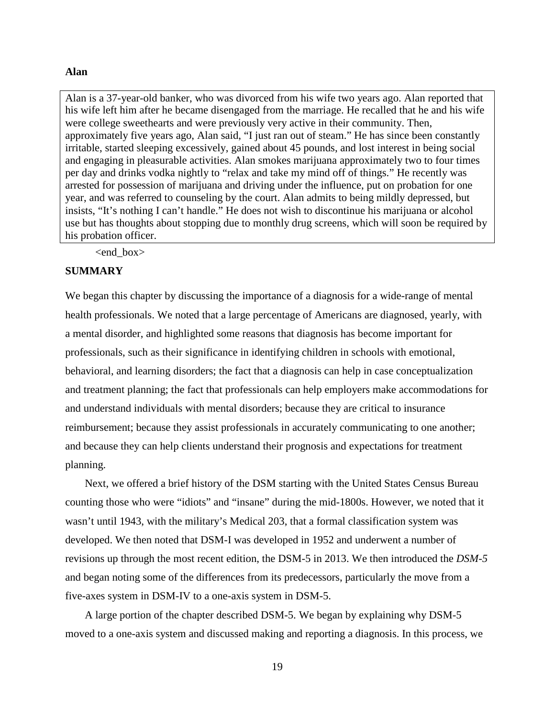#### **Alan**

Alan is a 37-year-old banker, who was divorced from his wife two years ago. Alan reported that his wife left him after he became disengaged from the marriage. He recalled that he and his wife were college sweethearts and were previously very active in their community. Then, approximately five years ago, Alan said, "I just ran out of steam." He has since been constantly irritable, started sleeping excessively, gained about 45 pounds, and lost interest in being social and engaging in pleasurable activities. Alan smokes marijuana approximately two to four times per day and drinks vodka nightly to "relax and take my mind off of things." He recently was arrested for possession of marijuana and driving under the influence, put on probation for one year, and was referred to counseling by the court. Alan admits to being mildly depressed, but insists, "It's nothing I can't handle." He does not wish to discontinue his marijuana or alcohol use but has thoughts about stopping due to monthly drug screens, which will soon be required by his probation officer.

<end box>

#### **SUMMARY**

We began this chapter by discussing the importance of a diagnosis for a wide-range of mental health professionals. We noted that a large percentage of Americans are diagnosed, yearly, with a mental disorder, and highlighted some reasons that diagnosis has become important for professionals, such as their significance in identifying children in schools with emotional, behavioral, and learning disorders; the fact that a diagnosis can help in case conceptualization and treatment planning; the fact that professionals can help employers make accommodations for and understand individuals with mental disorders; because they are critical to insurance reimbursement; because they assist professionals in accurately communicating to one another; and because they can help clients understand their prognosis and expectations for treatment planning.

Next, we offered a brief history of the DSM starting with the United States Census Bureau counting those who were "idiots" and "insane" during the mid-1800s. However, we noted that it wasn't until 1943, with the military's Medical 203, that a formal classification system was developed. We then noted that DSM-I was developed in 1952 and underwent a number of revisions up through the most recent edition, the DSM-5 in 2013. We then introduced the *DSM-5* and began noting some of the differences from its predecessors, particularly the move from a five-axes system in DSM-IV to a one-axis system in DSM-5.

A large portion of the chapter described DSM-5. We began by explaining why DSM-5 moved to a one-axis system and discussed making and reporting a diagnosis. In this process, we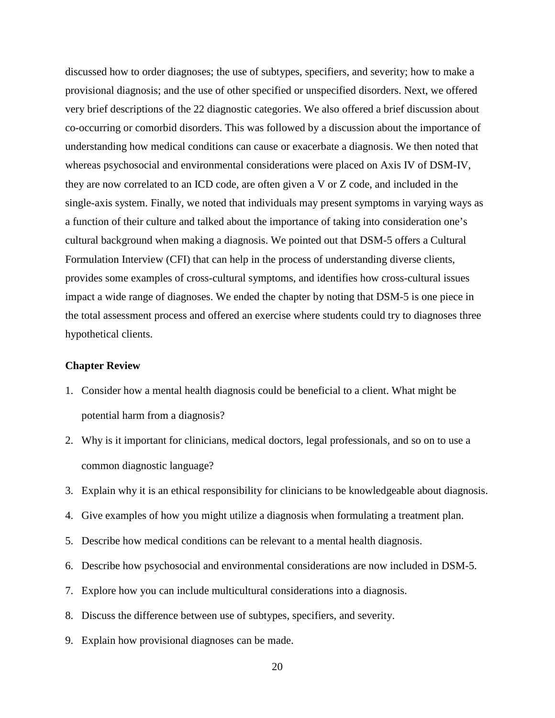discussed how to order diagnoses; the use of subtypes, specifiers, and severity; how to make a provisional diagnosis; and the use of other specified or unspecified disorders. Next, we offered very brief descriptions of the 22 diagnostic categories. We also offered a brief discussion about co-occurring or comorbid disorders. This was followed by a discussion about the importance of understanding how medical conditions can cause or exacerbate a diagnosis. We then noted that whereas psychosocial and environmental considerations were placed on Axis IV of DSM-IV, they are now correlated to an ICD code, are often given a V or Z code, and included in the single-axis system. Finally, we noted that individuals may present symptoms in varying ways as a function of their culture and talked about the importance of taking into consideration one's cultural background when making a diagnosis. We pointed out that DSM-5 offers a Cultural Formulation Interview (CFI) that can help in the process of understanding diverse clients, provides some examples of cross-cultural symptoms, and identifies how cross-cultural issues impact a wide range of diagnoses. We ended the chapter by noting that DSM-5 is one piece in the total assessment process and offered an exercise where students could try to diagnoses three hypothetical clients.

#### **Chapter Review**

- 1. Consider how a mental health diagnosis could be beneficial to a client. What might be potential harm from a diagnosis?
- 2. Why is it important for clinicians, medical doctors, legal professionals, and so on to use a common diagnostic language?
- 3. Explain why it is an ethical responsibility for clinicians to be knowledgeable about diagnosis.
- 4. Give examples of how you might utilize a diagnosis when formulating a treatment plan.
- 5. Describe how medical conditions can be relevant to a mental health diagnosis.
- 6. Describe how psychosocial and environmental considerations are now included in DSM-5.
- 7. Explore how you can include multicultural considerations into a diagnosis.
- 8. Discuss the difference between use of subtypes, specifiers, and severity.
- 9. Explain how provisional diagnoses can be made.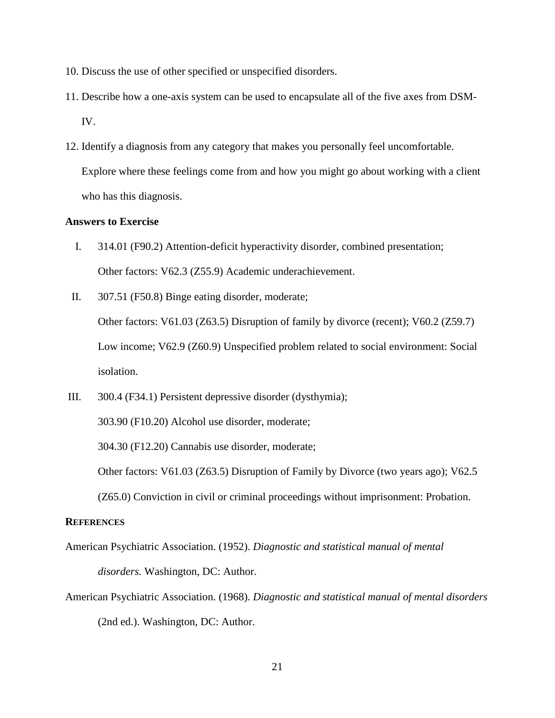- 10. Discuss the use of other specified or unspecified disorders.
- 11. Describe how a one-axis system can be used to encapsulate all of the five axes from DSM-IV.
- 12. Identify a diagnosis from any category that makes you personally feel uncomfortable. Explore where these feelings come from and how you might go about working with a client who has this diagnosis.

### **Answers to Exercise**

- I. 314.01 (F90.2) Attention-deficit hyperactivity disorder, combined presentation; Other factors: V62.3 (Z55.9) Academic underachievement.
- II. 307.51 (F50.8) Binge eating disorder, moderate; Other factors: V61.03 (Z63.5) Disruption of family by divorce (recent); V60.2 (Z59.7) Low income; V62.9 (Z60.9) Unspecified problem related to social environment: Social isolation.
- III. 300.4 (F34.1) Persistent depressive disorder (dysthymia); 303.90 (F10.20) Alcohol use disorder, moderate; 304.30 (F12.20) Cannabis use disorder, moderate; Other factors: V61.03 (Z63.5) Disruption of Family by Divorce (two years ago); V62.5 (Z65.0) Conviction in civil or criminal proceedings without imprisonment: Probation.

### **REFERENCES**

- American Psychiatric Association. (1952). *Diagnostic and statistical manual of mental disorders.* Washington, DC: Author.
- American Psychiatric Association. (1968). *Diagnostic and statistical manual of mental disorders* (2nd ed.). Washington, DC: Author.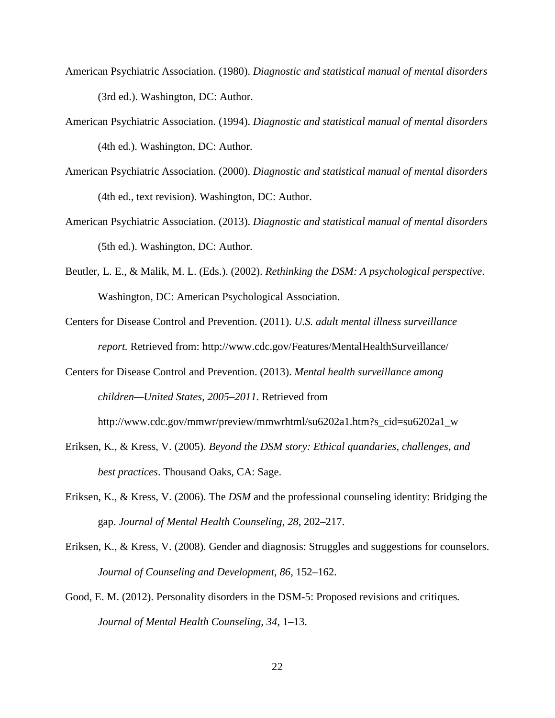- American Psychiatric Association. (1980). *Diagnostic and statistical manual of mental disorders* (3rd ed.). Washington, DC: Author.
- American Psychiatric Association. (1994). *Diagnostic and statistical manual of mental disorders* (4th ed.). Washington, DC: Author.
- American Psychiatric Association. (2000). *Diagnostic and statistical manual of mental disorders* (4th ed., text revision). Washington, DC: Author.
- American Psychiatric Association. (2013). *Diagnostic and statistical manual of mental disorders* (5th ed.). Washington, DC: Author.
- Beutler, L. E., & Malik, M. L. (Eds.). (2002). *Rethinking the DSM: A psychological perspective*. Washington, DC: American Psychological Association.
- Centers for Disease Control and Prevention. (2011). *U.S. adult mental illness surveillance report.* Retrieved from: http://www.cdc.gov/Features/MentalHealthSurveillance/
- Centers for Disease Control and Prevention. (2013). *Mental health surveillance among children—United States, 2005–2011*. Retrieved from

http://www.cdc.gov/mmwr/preview/mmwrhtml/su6202a1.htm?s\_cid=su6202a1\_w

- Eriksen, K., & Kress, V. (2005). *Beyond the DSM story: Ethical quandaries, challenges, and best practices*. Thousand Oaks, CA: Sage.
- Eriksen, K., & Kress, V. (2006). The *DSM* and the professional counseling identity: Bridging the gap. *Journal of Mental Health Counseling, 28*, 202–217.
- Eriksen, K., & Kress, V. (2008). Gender and diagnosis: Struggles and suggestions for counselors. *Journal of Counseling and Development, 86*, 152–162.
- Good, E. M. (2012). Personality disorders in the DSM-5: Proposed revisions and critiques*. Journal of Mental Health Counseling, 34*, 1–13.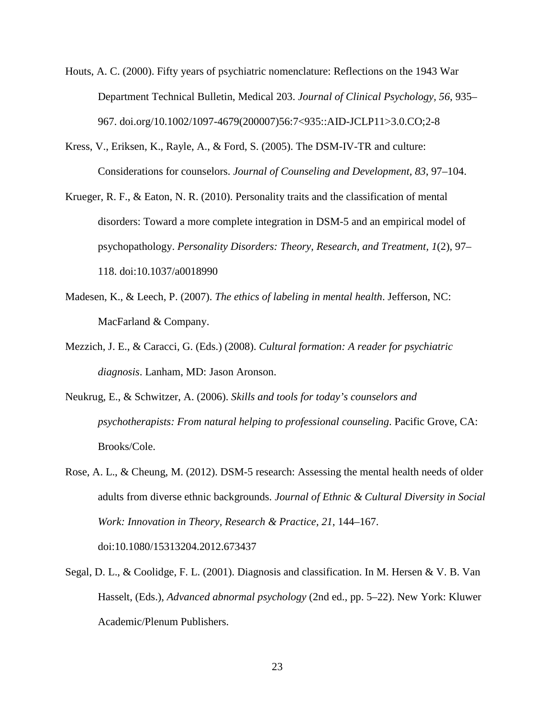- Houts, A. C. (2000). Fifty years of psychiatric nomenclature: Reflections on the 1943 War Department Technical Bulletin, Medical 203. *Journal of Clinical Psychology, 56*, 935– 967. doi.org/10.1002/1097-4679(200007)56:7<935::AID-JCLP11>3.0.CO;2-8
- Kress, V., Eriksen, K., Rayle, A., & Ford, S. (2005). The DSM-IV-TR and culture: Considerations for counselors. *Journal of Counseling and Development, 83*, 97–104.
- Krueger, R. F., & Eaton, N. R. (2010). Personality traits and the classification of mental disorders: Toward a more complete integration in DSM-5 and an empirical model of psychopathology. *Personality Disorders: Theory, Research, and Treatment, 1*(2), 97– 118. doi:10.1037/a0018990
- Madesen, K., & Leech, P. (2007). *The ethics of labeling in mental health*. Jefferson, NC: MacFarland & Company.
- Mezzich, J. E., & Caracci, G. (Eds.) (2008). *Cultural formation: A reader for psychiatric diagnosis*. Lanham, MD: Jason Aronson.
- Neukrug, E., & Schwitzer, A. (2006). *Skills and tools for today's counselors and psychotherapists: From natural helping to professional counseling*. Pacific Grove, CA: Brooks/Cole.
- Rose, A. L., & Cheung, M. (2012). DSM-5 research: Assessing the mental health needs of older adults from diverse ethnic backgrounds. *Journal of Ethnic & Cultural Diversity in Social Work: Innovation in Theory, Research & Practice, 21*, 144–167. doi:10.1080/15313204.2012.673437
- Segal, D. L., & Coolidge, F. L. (2001). Diagnosis and classification. In M. Hersen & V. B. Van Hasselt, (Eds.), *Advanced abnormal psychology* (2nd ed., pp. 5–22). New York: Kluwer Academic/Plenum Publishers.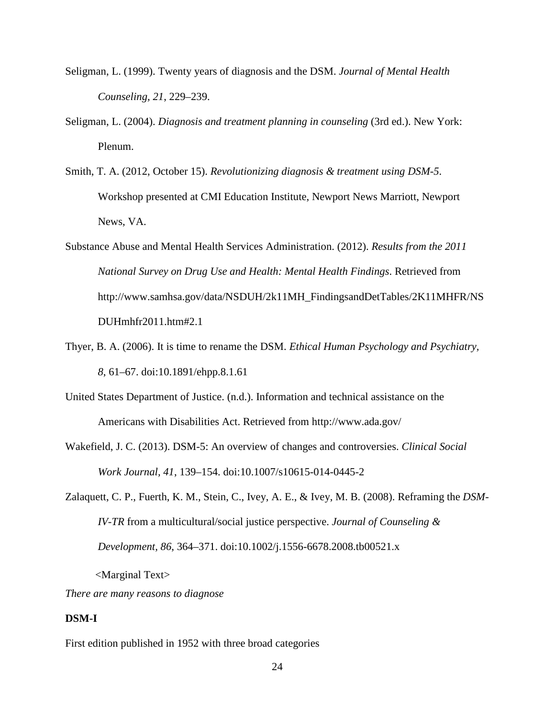- Seligman, L. (1999). Twenty years of diagnosis and the DSM. *Journal of Mental Health Counseling, 21*, 229–239.
- Seligman, L. (2004). *Diagnosis and treatment planning in counseling* (3rd ed.). New York: Plenum.
- Smith, T. A. (2012, October 15). *Revolutionizing diagnosis & treatment using DSM-5*. Workshop presented at CMI Education Institute, Newport News Marriott, Newport News, VA.
- Substance Abuse and Mental Health Services Administration. (2012). *Results from the 2011 National Survey on Drug Use and Health: Mental Health Findings*. Retrieved from http://www.samhsa.gov/data/NSDUH/2k11MH\_FindingsandDetTables/2K11MHFR/NS DUHmhfr2011.htm#2.1
- Thyer, B. A. (2006). It is time to rename the DSM. *Ethical Human Psychology and Psychiatry, 8*, 61–67. doi:10.1891/ehpp.8.1.61
- United States Department of Justice. (n.d.). Information and technical assistance on the Americans with Disabilities Act. Retrieved from http://www.ada.gov/
- Wakefield, J. C. (2013). DSM-5: An overview of changes and controversies. *Clinical Social Work Journal, 41*, 139–154. doi:10.1007/s10615-014-0445-2
- Zalaquett, C. P., Fuerth, K. M., Stein, C., Ivey, A. E., & Ivey, M. B. (2008). Reframing the *DSM-IV-TR* from a multicultural/social justice perspective. *Journal of Counseling & Development, 86*, 364–371. doi:10.1002/j.1556-6678.2008.tb00521.x

<Marginal Text>

*There are many reasons to diagnose*

## **DSM-I**

First edition published in 1952 with three broad categories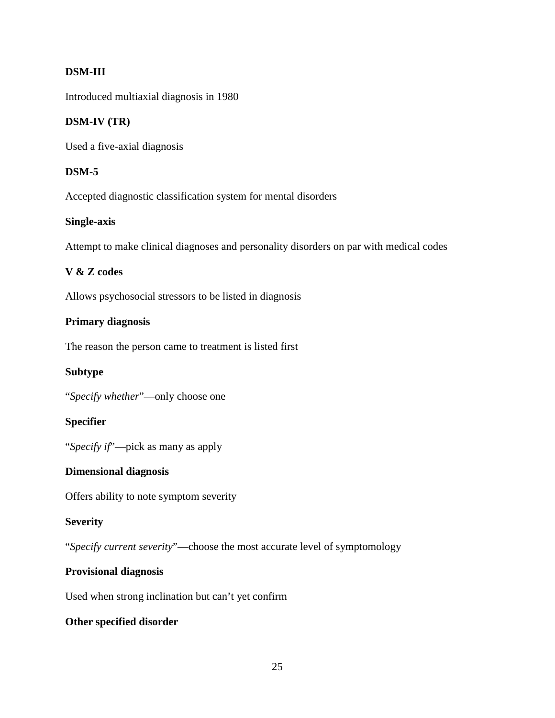## **DSM-III**

Introduced multiaxial diagnosis in 1980

## **DSM-IV (TR)**

Used a five-axial diagnosis

### **DSM-5**

Accepted diagnostic classification system for mental disorders

### **Single-axis**

Attempt to make clinical diagnoses and personality disorders on par with medical codes

### **V & Z codes**

Allows psychosocial stressors to be listed in diagnosis

### **Primary diagnosis**

The reason the person came to treatment is listed first

### **Subtype**

"*Specify whether*"—only choose one

### **Specifier**

"*Specify if*"—pick as many as apply

#### **Dimensional diagnosis**

Offers ability to note symptom severity

### **Severity**

"*Specify current severity*"—choose the most accurate level of symptomology

## **Provisional diagnosis**

Used when strong inclination but can't yet confirm

### **Other specified disorder**